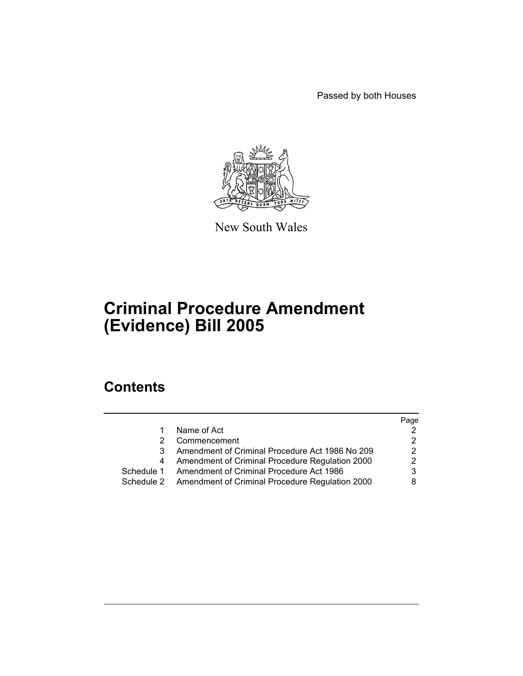Passed by both Houses



New South Wales

# **Criminal Procedure Amendment (Evidence) Bill 2005**

# **Contents**

|    |                                                            | Page |
|----|------------------------------------------------------------|------|
| 1. | Name of Act                                                |      |
|    | Commencement                                               |      |
|    | Amendment of Criminal Procedure Act 1986 No 209            | 2    |
|    | Amendment of Criminal Procedure Regulation 2000            |      |
|    | Schedule 1 Amendment of Criminal Procedure Act 1986        | 3    |
|    | Schedule 2 Amendment of Criminal Procedure Regulation 2000 | 8    |
|    |                                                            |      |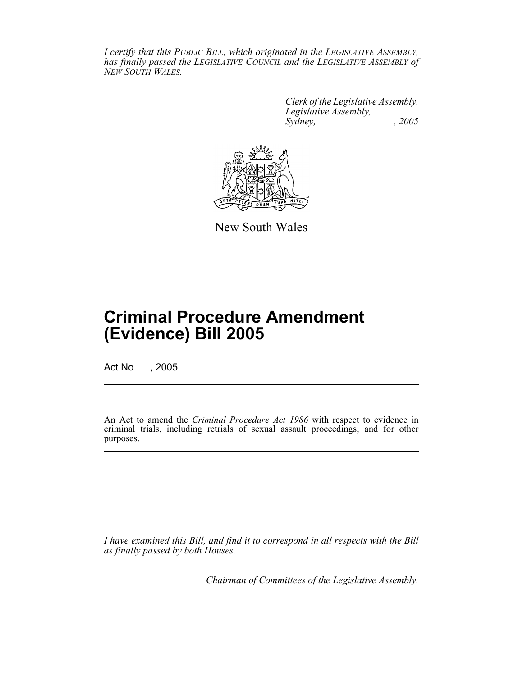*I certify that this PUBLIC BILL, which originated in the LEGISLATIVE ASSEMBLY, has finally passed the LEGISLATIVE COUNCIL and the LEGISLATIVE ASSEMBLY of NEW SOUTH WALES.*

> *Clerk of the Legislative Assembly. Legislative Assembly, Sydney, , 2005*



New South Wales

# **Criminal Procedure Amendment (Evidence) Bill 2005**

Act No , 2005

An Act to amend the *Criminal Procedure Act 1986* with respect to evidence in criminal trials, including retrials of sexual assault proceedings; and for other purposes.

*I have examined this Bill, and find it to correspond in all respects with the Bill as finally passed by both Houses.*

*Chairman of Committees of the Legislative Assembly.*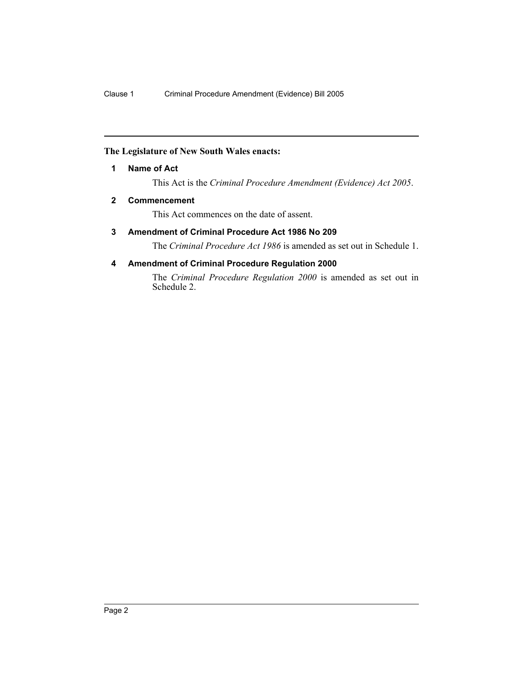## **The Legislature of New South Wales enacts:**

# **1 Name of Act**

This Act is the *Criminal Procedure Amendment (Evidence) Act 2005*.

## **2 Commencement**

This Act commences on the date of assent.

# **3 Amendment of Criminal Procedure Act 1986 No 209**

The *Criminal Procedure Act 1986* is amended as set out in Schedule 1.

# **4 Amendment of Criminal Procedure Regulation 2000**

The *Criminal Procedure Regulation 2000* is amended as set out in Schedule 2.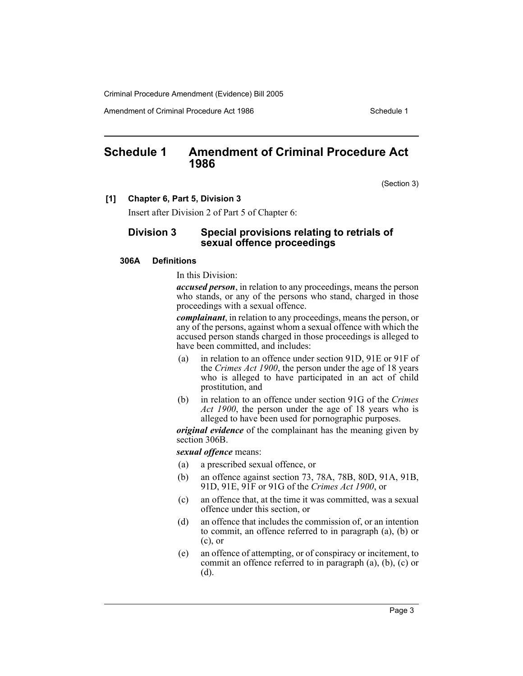Amendment of Criminal Procedure Act 1986 Schedule 1

# **Schedule 1 Amendment of Criminal Procedure Act 1986**

(Section 3)

#### **[1] Chapter 6, Part 5, Division 3**

Insert after Division 2 of Part 5 of Chapter 6:

# **Division 3 Special provisions relating to retrials of sexual offence proceedings**

#### **306A Definitions**

In this Division:

*accused person*, in relation to any proceedings, means the person who stands, or any of the persons who stand, charged in those proceedings with a sexual offence.

*complainant*, in relation to any proceedings, means the person, or any of the persons, against whom a sexual offence with which the accused person stands charged in those proceedings is alleged to have been committed, and includes:

- (a) in relation to an offence under section 91D, 91E or 91F of the *Crimes Act 1900*, the person under the age of 18 years who is alleged to have participated in an act of child prostitution, and
- (b) in relation to an offence under section 91G of the *Crimes Act 1900*, the person under the age of 18 years who is alleged to have been used for pornographic purposes.

*original evidence* of the complainant has the meaning given by section 306B.

*sexual offence* means:

- (a) a prescribed sexual offence, or
- (b) an offence against section 73, 78A, 78B, 80D, 91A, 91B, 91D, 91E, 91F or 91G of the *Crimes Act 1900*, or
- (c) an offence that, at the time it was committed, was a sexual offence under this section, or
- (d) an offence that includes the commission of, or an intention to commit, an offence referred to in paragraph (a), (b) or (c), or
- (e) an offence of attempting, or of conspiracy or incitement, to commit an offence referred to in paragraph (a), (b), (c) or (d).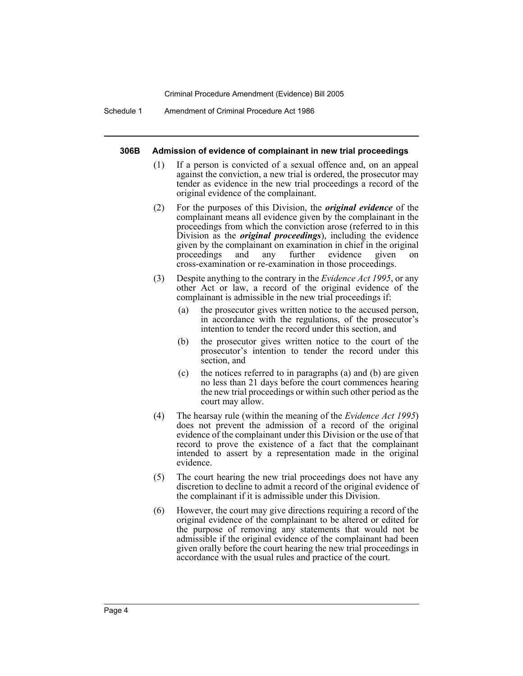Schedule 1 Amendment of Criminal Procedure Act 1986

#### **306B Admission of evidence of complainant in new trial proceedings**

- (1) If a person is convicted of a sexual offence and, on an appeal against the conviction, a new trial is ordered, the prosecutor may tender as evidence in the new trial proceedings a record of the original evidence of the complainant.
- (2) For the purposes of this Division, the *original evidence* of the complainant means all evidence given by the complainant in the proceedings from which the conviction arose (referred to in this Division as the *original proceedings*), including the evidence given by the complainant on examination in chief in the original proceedings and any further evidence given on cross-examination or re-examination in those proceedings.
- (3) Despite anything to the contrary in the *Evidence Act 1995*, or any other Act or law, a record of the original evidence of the complainant is admissible in the new trial proceedings if:
	- (a) the prosecutor gives written notice to the accused person, in accordance with the regulations, of the prosecutor's intention to tender the record under this section, and
	- (b) the prosecutor gives written notice to the court of the prosecutor's intention to tender the record under this section, and
	- (c) the notices referred to in paragraphs (a) and (b) are given no less than 21 days before the court commences hearing the new trial proceedings or within such other period as the court may allow.
- (4) The hearsay rule (within the meaning of the *Evidence Act 1995*) does not prevent the admission of a record of the original evidence of the complainant under this Division or the use of that record to prove the existence of a fact that the complainant intended to assert by a representation made in the original evidence.
- (5) The court hearing the new trial proceedings does not have any discretion to decline to admit a record of the original evidence of the complainant if it is admissible under this Division.
- (6) However, the court may give directions requiring a record of the original evidence of the complainant to be altered or edited for the purpose of removing any statements that would not be admissible if the original evidence of the complainant had been given orally before the court hearing the new trial proceedings in accordance with the usual rules and practice of the court.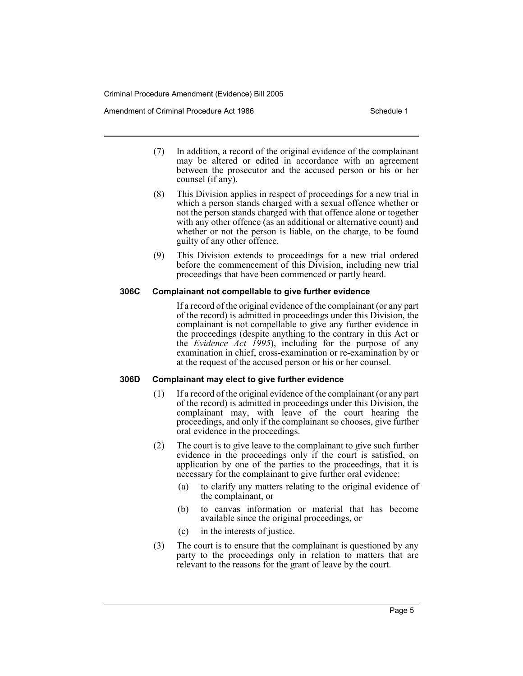Amendment of Criminal Procedure Act 1986 Schedule 1

- (7) In addition, a record of the original evidence of the complainant may be altered or edited in accordance with an agreement between the prosecutor and the accused person or his or her counsel (if any).
- (8) This Division applies in respect of proceedings for a new trial in which a person stands charged with a sexual offence whether or not the person stands charged with that offence alone or together with any other offence (as an additional or alternative count) and whether or not the person is liable, on the charge, to be found guilty of any other offence.
- (9) This Division extends to proceedings for a new trial ordered before the commencement of this Division, including new trial proceedings that have been commenced or partly heard.

## **306C Complainant not compellable to give further evidence**

If a record of the original evidence of the complainant (or any part of the record) is admitted in proceedings under this Division, the complainant is not compellable to give any further evidence in the proceedings (despite anything to the contrary in this Act or the *Evidence Act 1995*), including for the purpose of any examination in chief, cross-examination or re-examination by or at the request of the accused person or his or her counsel.

# **306D Complainant may elect to give further evidence**

- (1) If a record of the original evidence of the complainant (or any part of the record) is admitted in proceedings under this Division, the complainant may, with leave of the court hearing the proceedings, and only if the complainant so chooses, give further oral evidence in the proceedings.
- (2) The court is to give leave to the complainant to give such further evidence in the proceedings only if the court is satisfied, on application by one of the parties to the proceedings, that it is necessary for the complainant to give further oral evidence:
	- (a) to clarify any matters relating to the original evidence of the complainant, or
	- (b) to canvas information or material that has become available since the original proceedings, or
	- (c) in the interests of justice.
- (3) The court is to ensure that the complainant is questioned by any party to the proceedings only in relation to matters that are relevant to the reasons for the grant of leave by the court.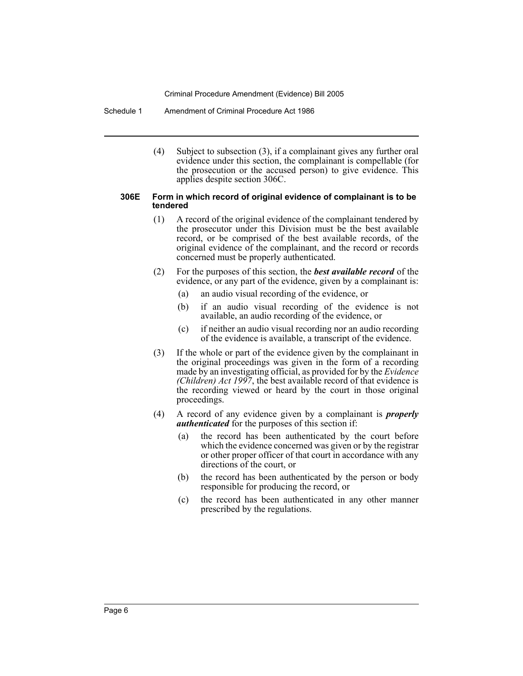Schedule 1 Amendment of Criminal Procedure Act 1986

(4) Subject to subsection (3), if a complainant gives any further oral evidence under this section, the complainant is compellable (for the prosecution or the accused person) to give evidence. This applies despite section 306C.

#### **306E Form in which record of original evidence of complainant is to be tendered**

- (1) A record of the original evidence of the complainant tendered by the prosecutor under this Division must be the best available record, or be comprised of the best available records, of the original evidence of the complainant, and the record or records concerned must be properly authenticated.
- (2) For the purposes of this section, the *best available record* of the evidence, or any part of the evidence, given by a complainant is:
	- (a) an audio visual recording of the evidence, or
	- (b) if an audio visual recording of the evidence is not available, an audio recording of the evidence, or
	- (c) if neither an audio visual recording nor an audio recording of the evidence is available, a transcript of the evidence.
- (3) If the whole or part of the evidence given by the complainant in the original proceedings was given in the form of a recording made by an investigating official, as provided for by the *Evidence (Children) Act 1997*, the best available record of that evidence is the recording viewed or heard by the court in those original proceedings.
- (4) A record of any evidence given by a complainant is *properly authenticated* for the purposes of this section if:
	- (a) the record has been authenticated by the court before which the evidence concerned was given or by the registrar or other proper officer of that court in accordance with any directions of the court, or
	- (b) the record has been authenticated by the person or body responsible for producing the record, or
	- (c) the record has been authenticated in any other manner prescribed by the regulations.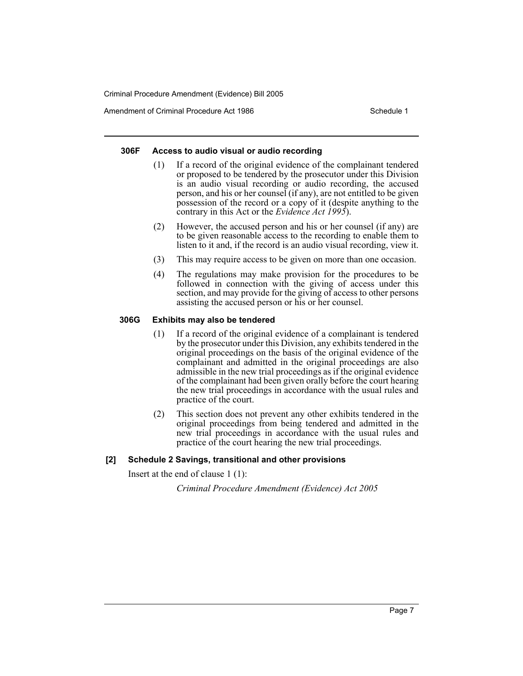Amendment of Criminal Procedure Act 1986 Schedule 1

## **306F Access to audio visual or audio recording**

- (1) If a record of the original evidence of the complainant tendered or proposed to be tendered by the prosecutor under this Division is an audio visual recording or audio recording, the accused person, and his or her counsel (if any), are not entitled to be given possession of the record or a copy of it (despite anything to the contrary in this Act or the *Evidence Act 1995*).
- (2) However, the accused person and his or her counsel (if any) are to be given reasonable access to the recording to enable them to listen to it and, if the record is an audio visual recording, view it.
- (3) This may require access to be given on more than one occasion.
- (4) The regulations may make provision for the procedures to be followed in connection with the giving of access under this section, and may provide for the giving of access to other persons assisting the accused person or his or her counsel.

## **306G Exhibits may also be tendered**

- (1) If a record of the original evidence of a complainant is tendered by the prosecutor under this Division, any exhibits tendered in the original proceedings on the basis of the original evidence of the complainant and admitted in the original proceedings are also admissible in the new trial proceedings as if the original evidence of the complainant had been given orally before the court hearing the new trial proceedings in accordance with the usual rules and practice of the court.
- (2) This section does not prevent any other exhibits tendered in the original proceedings from being tendered and admitted in the new trial proceedings in accordance with the usual rules and practice of the court hearing the new trial proceedings.

# **[2] Schedule 2 Savings, transitional and other provisions**

Insert at the end of clause 1 (1):

*Criminal Procedure Amendment (Evidence) Act 2005*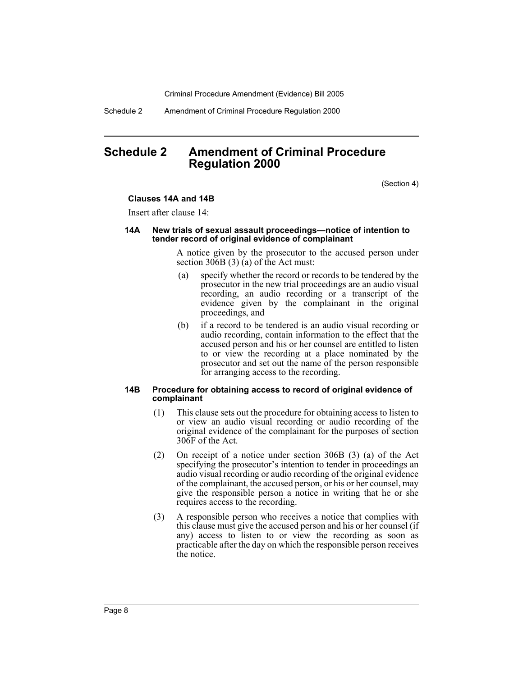Schedule 2 Amendment of Criminal Procedure Regulation 2000

# **Schedule 2 Amendment of Criminal Procedure Regulation 2000**

(Section 4)

#### **Clauses 14A and 14B**

Insert after clause 14:

#### **14A New trials of sexual assault proceedings—notice of intention to tender record of original evidence of complainant**

A notice given by the prosecutor to the accused person under section  $306B(3)$  (a) of the Act must:

- (a) specify whether the record or records to be tendered by the prosecutor in the new trial proceedings are an audio visual recording, an audio recording or a transcript of the evidence given by the complainant in the original proceedings, and
- (b) if a record to be tendered is an audio visual recording or audio recording, contain information to the effect that the accused person and his or her counsel are entitled to listen to or view the recording at a place nominated by the prosecutor and set out the name of the person responsible for arranging access to the recording.

#### **14B Procedure for obtaining access to record of original evidence of complainant**

- (1) This clause sets out the procedure for obtaining access to listen to or view an audio visual recording or audio recording of the original evidence of the complainant for the purposes of section 306F of the Act.
- (2) On receipt of a notice under section 306B (3) (a) of the Act specifying the prosecutor's intention to tender in proceedings an audio visual recording or audio recording of the original evidence of the complainant, the accused person, or his or her counsel, may give the responsible person a notice in writing that he or she requires access to the recording.
- (3) A responsible person who receives a notice that complies with this clause must give the accused person and his or her counsel (if any) access to listen to or view the recording as soon as practicable after the day on which the responsible person receives the notice.